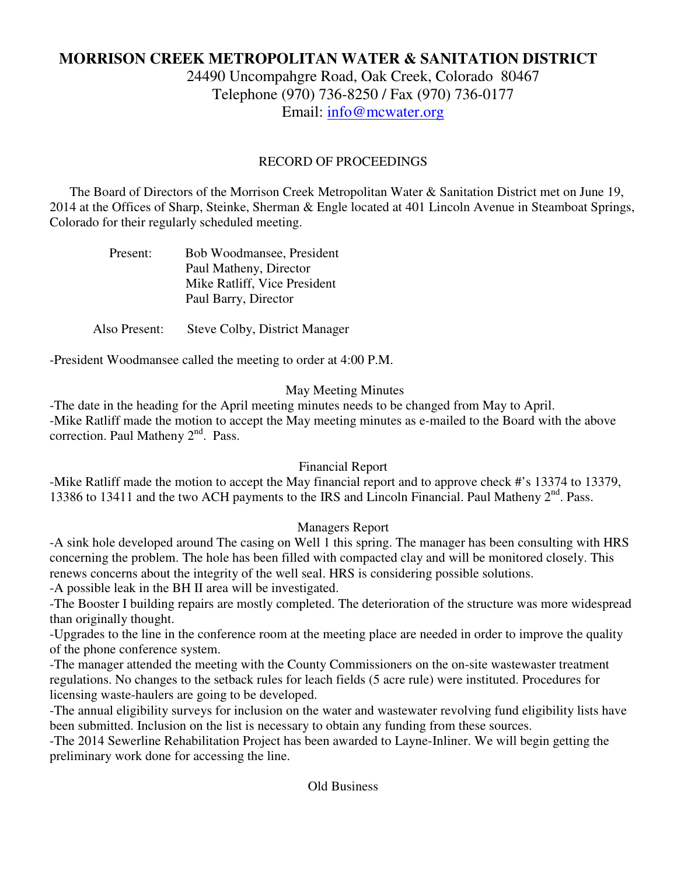# **MORRISON CREEK METROPOLITAN WATER & SANITATION DISTRICT**

24490 Uncompahgre Road, Oak Creek, Colorado 80467 Telephone (970) 736-8250 / Fax (970) 736-0177 Email: info@mcwater.org

#### RECORD OF PROCEEDINGS

 The Board of Directors of the Morrison Creek Metropolitan Water & Sanitation District met on June 19, 2014 at the Offices of Sharp, Steinke, Sherman & Engle located at 401 Lincoln Avenue in Steamboat Springs, Colorado for their regularly scheduled meeting.

| Present: | Bob Woodmansee, President    |
|----------|------------------------------|
|          | Paul Matheny, Director       |
|          | Mike Ratliff, Vice President |
|          | Paul Barry, Director         |

Also Present: Steve Colby, District Manager

-President Woodmansee called the meeting to order at 4:00 P.M.

### May Meeting Minutes

-The date in the heading for the April meeting minutes needs to be changed from May to April. -Mike Ratliff made the motion to accept the May meeting minutes as e-mailed to the Board with the above correction. Paul Matheny 2<sup>nd</sup>. Pass.

## Financial Report

-Mike Ratliff made the motion to accept the May financial report and to approve check #'s 13374 to 13379, 13386 to 13411 and the two ACH payments to the IRS and Lincoln Financial. Paul Matheny 2<sup>nd</sup>. Pass.

## Managers Report

-A sink hole developed around The casing on Well 1 this spring. The manager has been consulting with HRS concerning the problem. The hole has been filled with compacted clay and will be monitored closely. This renews concerns about the integrity of the well seal. HRS is considering possible solutions.

-A possible leak in the BH II area will be investigated.

-The Booster I building repairs are mostly completed. The deterioration of the structure was more widespread than originally thought.

-Upgrades to the line in the conference room at the meeting place are needed in order to improve the quality of the phone conference system.

-The manager attended the meeting with the County Commissioners on the on-site wastewaster treatment regulations. No changes to the setback rules for leach fields (5 acre rule) were instituted. Procedures for licensing waste-haulers are going to be developed.

-The annual eligibility surveys for inclusion on the water and wastewater revolving fund eligibility lists have been submitted. Inclusion on the list is necessary to obtain any funding from these sources.

-The 2014 Sewerline Rehabilitation Project has been awarded to Layne-Inliner. We will begin getting the preliminary work done for accessing the line.